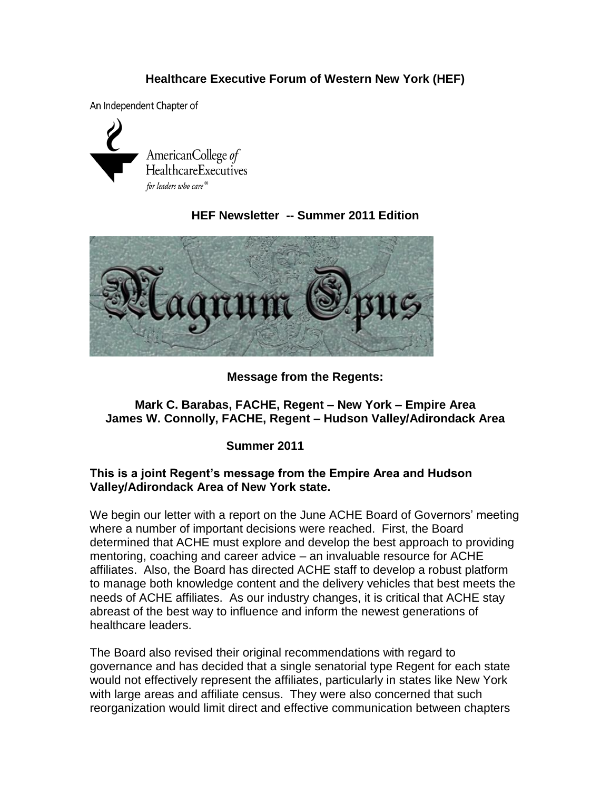## **Healthcare Executive Forum of Western New York (HEF)**

An Independent Chapter of



## **HEF Newsletter -- Summer 2011 Edition**



### **Message from the Regents:**

### **Mark C. Barabas, FACHE, Regent – New York – Empire Area James W. Connolly, FACHE, Regent – Hudson Valley/Adirondack Area**

### **Summer 2011**

### **This is a joint Regent's message from the Empire Area and Hudson Valley/Adirondack Area of New York state.**

We begin our letter with a report on the June ACHE Board of Governors' meeting where a number of important decisions were reached. First, the Board determined that ACHE must explore and develop the best approach to providing mentoring, coaching and career advice – an invaluable resource for ACHE affiliates. Also, the Board has directed ACHE staff to develop a robust platform to manage both knowledge content and the delivery vehicles that best meets the needs of ACHE affiliates. As our industry changes, it is critical that ACHE stay abreast of the best way to influence and inform the newest generations of healthcare leaders.

The Board also revised their original recommendations with regard to governance and has decided that a single senatorial type Regent for each state would not effectively represent the affiliates, particularly in states like New York with large areas and affiliate census. They were also concerned that such reorganization would limit direct and effective communication between chapters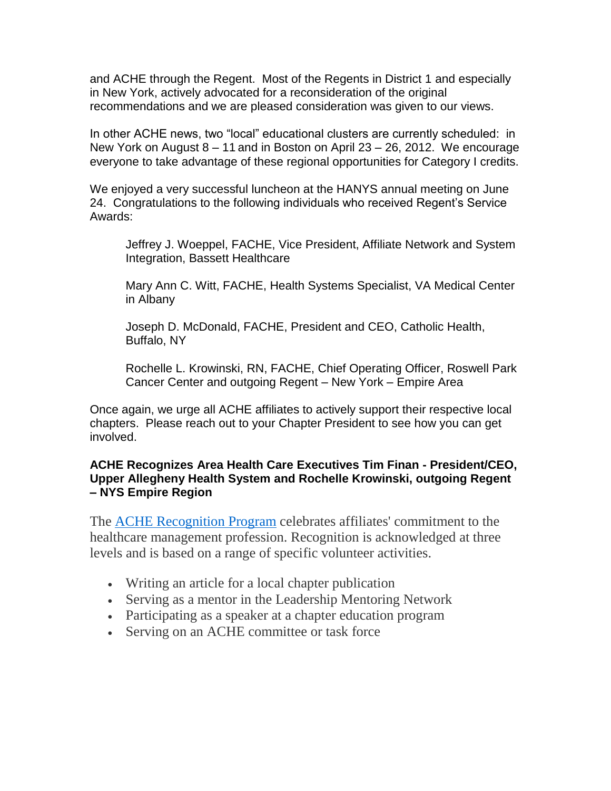and ACHE through the Regent. Most of the Regents in District 1 and especially in New York, actively advocated for a reconsideration of the original recommendations and we are pleased consideration was given to our views.

In other ACHE news, two "local" educational clusters are currently scheduled: in New York on August 8 – 11 and in Boston on April 23 – 26, 2012. We encourage everyone to take advantage of these regional opportunities for Category I credits.

We enjoyed a very successful luncheon at the HANYS annual meeting on June 24. Congratulations to the following individuals who received Regent's Service Awards:

Jeffrey J. Woeppel, FACHE, Vice President, Affiliate Network and System Integration, Bassett Healthcare

Mary Ann C. Witt, FACHE, Health Systems Specialist, VA Medical Center in Albany

Joseph D. McDonald, FACHE, President and CEO, Catholic Health, Buffalo, NY

Rochelle L. Krowinski, RN, FACHE, Chief Operating Officer, Roswell Park Cancer Center and outgoing Regent – New York – Empire Area

Once again, we urge all ACHE affiliates to actively support their respective local chapters. Please reach out to your Chapter President to see how you can get involved.

### **ACHE Recognizes Area Health Care Executives Tim Finan - President/CEO, Upper Allegheny Health System and Rochelle Krowinski, outgoing Regent – NYS Empire Region**

The [ACHE Recognition Program](http://www.mmsend53.com/ls.cfm?r=284884120&sid=9904253&m=1042792&u=ACHE&s=http://www.ache.org/abt_ache/awards/acherecognition.cfm) celebrates affiliates' commitment to the healthcare management profession. Recognition is acknowledged at three levels and is based on a range of specific volunteer activities.

- Writing an article for a local chapter publication
- Serving as a mentor in the Leadership Mentoring Network
- Participating as a speaker at a chapter education program
- Serving on an ACHE committee or task force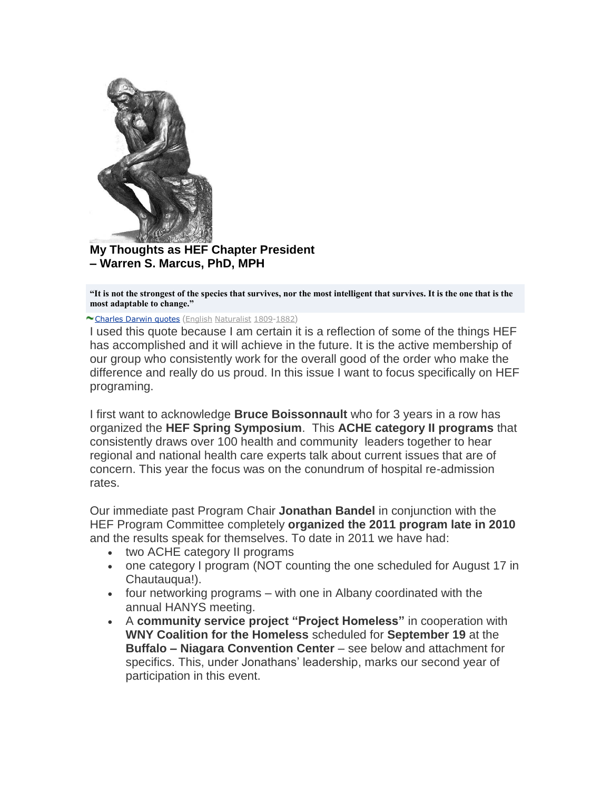

**My Thoughts as HEF Chapter President – Warren S. Marcus, PhD, MPH**

**"It is not the strongest of the species that survives, nor the most intelligent that survives. It is the one that is the most adaptable to change."**

[Charles Darwin quotes](http://thinkexist.com/quotes/charles_darwin/) ([English](http://thinkexist.com/nationality/english_authors/) [Naturalist](http://thinkexist.com/occupation/famous_naturalists/) [1809](http://thinkexist.com/birthday/february_12/)-[1882](http://thinkexist.com/birthday/april_19/))

I used this quote because I am certain it is a reflection of some of the things HEF has accomplished and it will achieve in the future. It is the active membership of our group who consistently work for the overall good of the order who make the difference and really do us proud. In this issue I want to focus specifically on HEF programing.

I first want to acknowledge **Bruce Boissonnault** who for 3 years in a row has organized the **HEF Spring Symposium**. This **ACHE category II programs** that consistently draws over 100 health and community leaders together to hear regional and national health care experts talk about current issues that are of concern. This year the focus was on the conundrum of hospital re-admission rates.

Our immediate past Program Chair **Jonathan Bandel** in conjunction with the HEF Program Committee completely **organized the 2011 program late in 2010** and the results speak for themselves. To date in 2011 we have had:

- two ACHE category II programs
- one category I program (NOT counting the one scheduled for August 17 in Chautauqua!).
- four networking programs with one in Albany coordinated with the annual HANYS meeting.
- A **community service project "Project Homeless"** in cooperation with **WNY Coalition for the Homeless** scheduled for **September 19** at the **Buffalo – Niagara Convention Center** – see below and attachment for specifics. This, under Jonathans' leadership, marks our second year of participation in this event.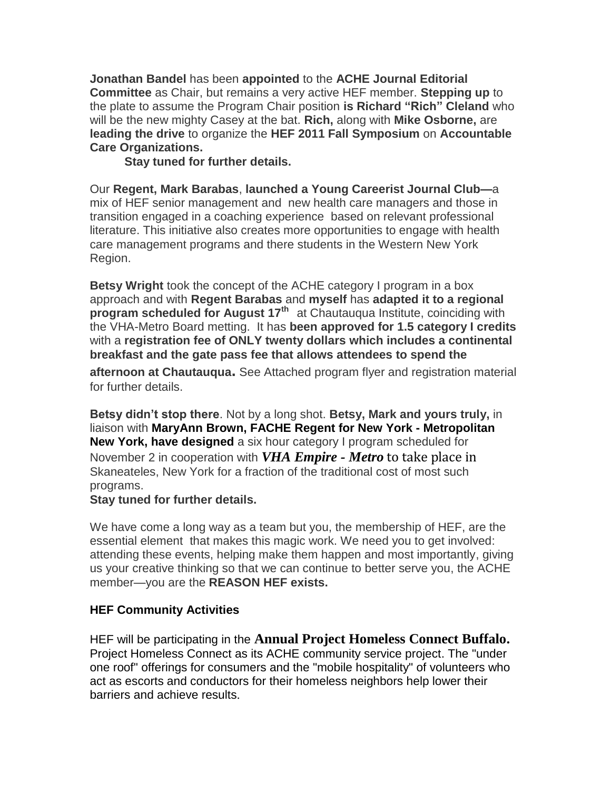**Jonathan Bandel** has been **appointed** to the **ACHE Journal Editorial Committee** as Chair, but remains a very active HEF member. **Stepping up** to the plate to assume the Program Chair position **is Richard "Rich" Cleland** who will be the new mighty Casey at the bat. **Rich,** along with **Mike Osborne,** are **leading the drive** to organize the **HEF 2011 Fall Symposium** on **Accountable Care Organizations.**

**Stay tuned for further details.**

Our **Regent, Mark Barabas**, **launched a Young Careerist Journal Club—**a mix of HEF senior management and new health care managers and those in transition engaged in a coaching experience based on relevant professional literature. This initiative also creates more opportunities to engage with health care management programs and there students in the Western New York Region.

**Betsy Wright** took the concept of the ACHE category I program in a box approach and with **Regent Barabas** and **myself** has **adapted it to a regional program scheduled for August 17th** at Chautauqua Institute, coinciding with the VHA-Metro Board metting. It has **been approved for 1.5 category I credits**  with a **registration fee of ONLY twenty dollars which includes a continental breakfast and the gate pass fee that allows attendees to spend the** 

**afternoon at Chautauqua.** See Attached program flyer and registration material for further details.

**Betsy didn't stop there**. Not by a long shot. **Betsy, Mark and yours truly,** in liaison with **MaryAnn Brown, FACHE Regent for New York - Metropolitan New York, have designed** a six hour category I program scheduled for November 2 in cooperation with *VHA Empire - Metro* to take place in Skaneateles, New York for a fraction of the traditional cost of most such programs.

### **Stay tuned for further details.**

We have come a long way as a team but you, the membership of HEF, are the essential element that makes this magic work. We need you to get involved: attending these events, helping make them happen and most importantly, giving us your creative thinking so that we can continue to better serve you, the ACHE member—you are the **REASON HEF exists.**

### **HEF Community Activities**

HEF will be participating in the **Annual Project Homeless Connect Buffalo.** Project Homeless Connect as its ACHE community service project. The "under one roof" offerings for consumers and the "mobile hospitality" of volunteers who act as escorts and conductors for their homeless neighbors help lower their barriers and achieve results.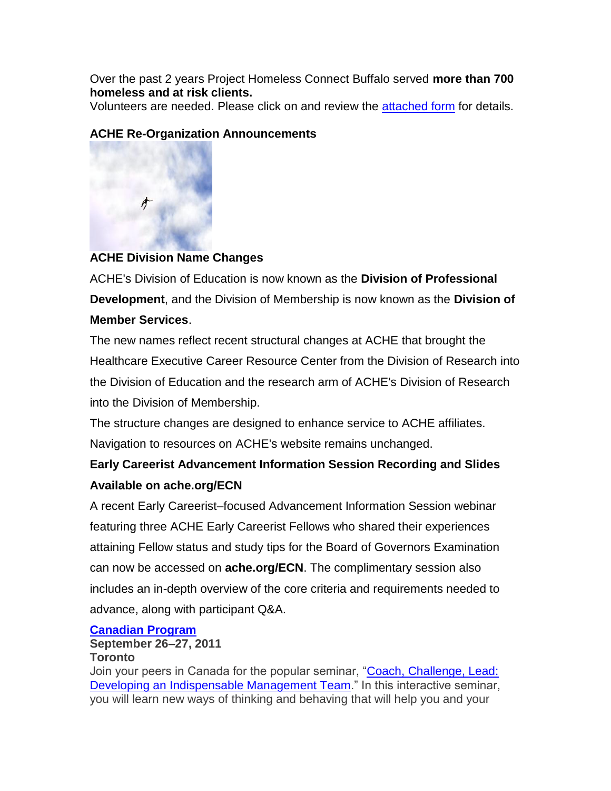Over the past 2 years Project Homeless Connect Buffalo served **more than 700 homeless and at risk clients.**

Volunteers are needed. Please click on and review the [attached form](http://www.mmsend88.com/link.cfm?r=160371045&sid=14782758&m=1473970&u=ACHE_chapt&j=6533223&s=http://images.magnetmail.net/images/clients/ACHE_chapt/attach/VolunteerRegistrationForm2011.doc) for details.

## **ACHE Re-Organization Announcements**



## **ACHE Division Name Changes**

ACHE's Division of Education is now known as the **Division of Professional Development**, and the Division of Membership is now known as the **Division of Member Services**.

The new names reflect recent structural changes at ACHE that brought the Healthcare Executive Career Resource Center from the Division of Research into the Division of Education and the research arm of ACHE's Division of Research into the Division of Membership.

The structure changes are designed to enhance service to ACHE affiliates. Navigation to resources on ACHE's website remains unchanged.

# **Early Careerist Advancement Information Session Recording and Slides Available on ache.org/ECN**

A recent Early Careerist–focused Advancement Information Session webinar featuring three ACHE Early Careerist Fellows who shared their experiences attaining Fellow status and study tips for the Board of Governors Examination can now be accessed on **ache.org/ECN**. The complimentary session also includes an in-depth overview of the core criteria and requirements needed to advance, along with participant Q&A.

## **[Canadian Program](http://www.mmsend53.com/link.cfm?r=284884120&sid=14821370&m=1476007&u=ACHE&j=6585184&s=http://www.ache.org/seminars/special/index.cfm?meet=CAN2011&utm_source=real%20magnet&utm_medium=email&utm_term=wsmarcus@roadrunner.com&utm_content=Education%20eNews%20-%207/28/11&utm_campaign=ACHE%20Education%20eNews%20-%207/28/11)**

### **September 26–27, 2011 Toronto**

Join your peers in Canada for the popular seminar, ["Coach, Challenge, Lead:](http://www.mmsend53.com/link.cfm?r=284884120&sid=14821371&m=1476007&u=ACHE&j=6585184&s=http://www.ache.org/seminars/special/index.cfm?meet=CAN2011&nav=1&subnav=4&utm_source=real%20magnet&utm_medium=email&utm_term=wsmarcus@roadrunner.com&utm_content=Education%20eNews%20-%207/28/11&utm_campaign=ACHE%20Education%20eNews%20-%207/28/11)  [Developing an Indispensable Management Team.](http://www.mmsend53.com/link.cfm?r=284884120&sid=14821371&m=1476007&u=ACHE&j=6585184&s=http://www.ache.org/seminars/special/index.cfm?meet=CAN2011&nav=1&subnav=4&utm_source=real%20magnet&utm_medium=email&utm_term=wsmarcus@roadrunner.com&utm_content=Education%20eNews%20-%207/28/11&utm_campaign=ACHE%20Education%20eNews%20-%207/28/11)" In this interactive seminar, you will learn new ways of thinking and behaving that will help you and your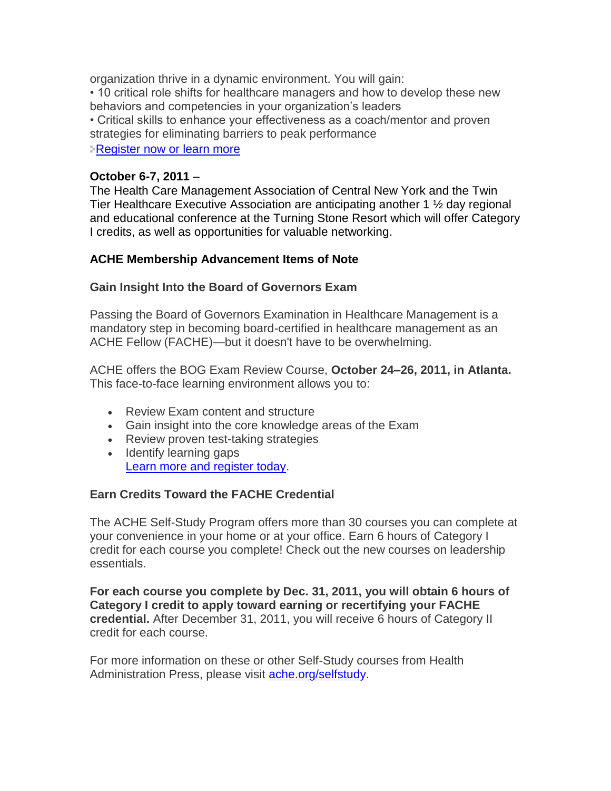organization thrive in a dynamic environment. You will gain:

• 10 critical role shifts for healthcare managers and how to develop these new behaviors and competencies in your organization's leaders

• Critical skills to enhance your effectiveness as a coach/mentor and proven strategies for eliminating barriers to peak performance

[Register now or learn more](http://www.mmsend53.com/link.cfm?r=284884120&sid=14821372&m=1476007&u=ACHE&j=6585184&s=http://www.ache.org/seminars/special/index.cfm?meet=CAN2011&nav=1&subnav=4&utm_source=real%20magnet&utm_medium=email&utm_term=wsmarcus@roadrunner.com&utm_content=Education%20eNews%20-%207/28/11&utm_campaign=ACHE%20Education%20eNews%20-%207/28/11)

### **October 6-7, 2011** –

The Health Care Management Association of Central New York and the Twin Tier Healthcare Executive Association are anticipating another 1 ½ day regional and educational conference at the Turning Stone Resort which will offer Category I credits, as well as opportunities for valuable networking.

## **ACHE Membership Advancement Items of Note**

### **Gain Insight Into the Board of Governors Exam**

Passing the Board of Governors Examination in Healthcare Management is a mandatory step in becoming board-certified in healthcare management as an ACHE Fellow (FACHE)—but it doesn't have to be overwhelming.

ACHE offers the BOG Exam Review Course, **October 24–26, 2011, in Atlanta.** This face-to-face learning environment allows you to:

- Review Exam content and structure
- Gain insight into the core knowledge areas of the Exam
- Review proven test-taking strategies
- Identify learning gaps [Learn more and register today.](http://www.mmsend53.com/link.cfm?r=284884120&sid=14704346&m=1463792&u=ACHE&j=6437087&s=http://www.ache.org/seminars/special/index.cfm?meet=BOGER11B&nav=1&subnav=4&utm_source=real%20magnet&utm_medium=email&utm_term=wsmarcus@roadrunner.com&utm_content=ACHe-news%20-%207/21/11&utm_campaign=ACHe-news%20-%20July%2021,%202011)

## **Earn Credits Toward the FACHE Credential**

The ACHE Self-Study Program offers more than 30 courses you can complete at your convenience in your home or at your office. Earn 6 hours of Category I credit for each course you complete! Check out the new courses on leadership essentials.

**For each course you complete by Dec. 31, 2011, you will obtain 6 hours of Category I credit to apply toward earning or recertifying your FACHE credential.** After December 31, 2011, you will receive 6 hours of Category II credit for each course.

For more information on these or other Self-Study courses from Health Administration Press, please visit [ache.org/selfstudy.](http://www.mmsend53.com/link.cfm?r=284884120&sid=14704350&m=1463792&u=ACHE&j=6437087&s=http://www.ache.org/PUBS/redesign/SELFSTUDy.cfm?utm_source=real%20magnet&utm_medium=email&utm_term=wsmarcus@roadrunner.com&utm_content=ACHe-news%20-%207/21/11&utm_campaign=ACHe-news%20-%20July%2021,%202011)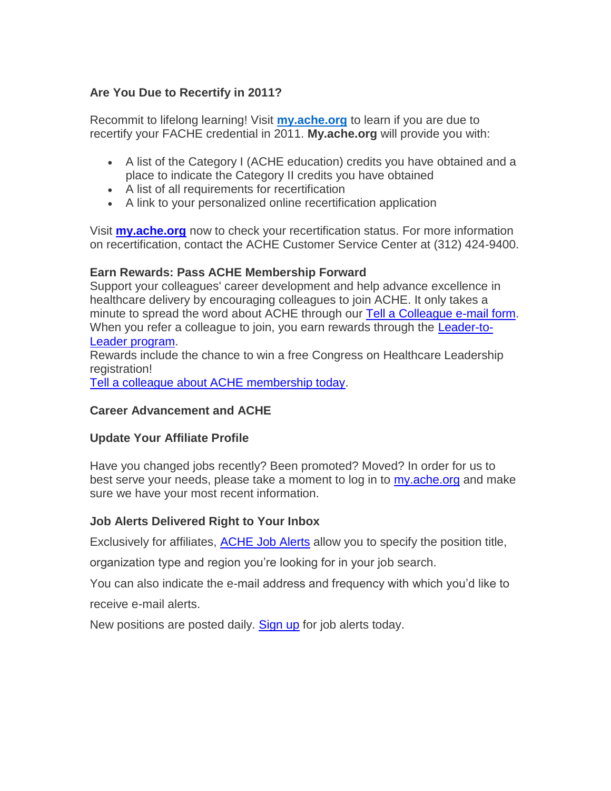## **Are You Due to Recertify in 2011?**

Recommit to lifelong learning! Visit **[my.ache.org](http://www.mmsend53.com/link.cfm?r=284884120&sid=14243438&m=1415233&u=ACHE&j=5855753&s=http://www.ache.org/newclub/myache/myache_launch.cfm?utm_source=real%20magnet&utm_medium=email&utm_term=wsmarcus@roadrunner.com&utm_content=ACHe-news%20-%206/23/11&utm_campaign=ACHe-news%20-%20June%2023,%202011)** to learn if you are due to recertify your FACHE credential in 2011. **My.ache.org** will provide you with:

- A list of the Category I (ACHE education) credits you have obtained and a place to indicate the Category II credits you have obtained
- A list of all requirements for recertification
- A link to your personalized online recertification application

Visit **[my.ache.org](http://www.mmsend53.com/link.cfm?r=284884120&sid=14243439&m=1415233&u=ACHE&j=5855753&s=http://www.ache.org/newclub/myache/myache_launch.cfm?utm_source=real%20magnet&utm_medium=email&utm_term=wsmarcus@roadrunner.com&utm_content=ACHe-news%20-%206/23/11&utm_campaign=ACHe-news%20-%20June%2023,%202011)** now to check your recertification status. For more information on recertification, contact the ACHE Customer Service Center at (312) 424-9400.

### **Earn Rewards: Pass ACHE Membership Forward**

Support your colleagues' career development and help advance excellence in healthcare delivery by encouraging colleagues to join ACHE. It only takes a minute to spread the word about ACHE through our [Tell a Colleague e-mail form.](http://www.mmsend53.com/link.cfm?r=284884120&sid=13817844&m=1376282&u=ACHE&s=https://www.ache.org/mbership/tell.cfm?utm_source=real%20magnet&utm_medium=email&utm_term=wsmarcus@roadrunner.com&utm_content=ACHe-news%20-%205/26/11&utm_campaign=ACHe-news%20-%20May%2026,%202011) When you refer a colleague to join, you earn rewards through the **Leader-to-**Leader [program.](http://www.mmsend53.com/link.cfm?r=284884120&sid=13817845&m=1376282&u=ACHE&s=http://www.ache.org/mbership/l2l/index.cfm?utm_source=real%20magnet&utm_medium=email&utm_term=wsmarcus@roadrunner.com&utm_content=ACHe-news%20-%205/26/11&utm_campaign=ACHe-news%20-%20May%2026,%202011)

Rewards include the chance to win a free Congress on Healthcare Leadership registration!

[Tell a colleague about ACHE membership today.](http://www.mmsend53.com/link.cfm?r=284884120&sid=13817846&m=1376282&u=ACHE&s=https://www.ache.org/mbership/tell.cfm?utm_source=real%20magnet&utm_medium=email&utm_term=wsmarcus@roadrunner.com&utm_content=ACHe-news%20-%205/26/11&utm_campaign=ACHe-news%20-%20May%2026,%202011)

### **Career Advancement and ACHE**

### **Update Your Affiliate Profile**

Have you changed jobs recently? Been promoted? Moved? In order for us to best serve your needs, please take a moment to log in to [my.ache.org](http://www.mmsend53.com/link.cfm?r=284884120&sid=14704351&m=1463792&u=ACHE&j=6437087&s=http://www.ache.org/newclub/myache/myache_launch.cfm?utm_source=real%20magnet&utm_medium=email&utm_term=wsmarcus@roadrunner.com&utm_content=ACHe-news%20-%207/21/11&utm_campaign=ACHe-news%20-%20July%2021,%202011) and make sure we have your most recent information.

## **Job Alerts Delivered Right to Your Inbox**

Exclusively for affiliates, [ACHE Job Alerts](http://www.mmsend53.com/link.cfm?r=284884120&sid=14462099&m=1438953&u=ACHE&j=6099758&s=http://www.ache.org/newclub/ache/jobs_v2/2006/job_alerts_options.cfm?utm_source=real%20magnet&utm_medium=email&utm_term=wsmarcus@roadrunner.com&utm_content=ACHe-news%20-%207/7/11&utm_campaign=ACHe-news%20-%20July%207,%202011) allow you to specify the position title,

organization type and region you're looking for in your job search.

You can also indicate the e-mail address and frequency with which you'd like to

receive e-mail alerts.

New positions are posted daily. **Sign up** for job alerts today.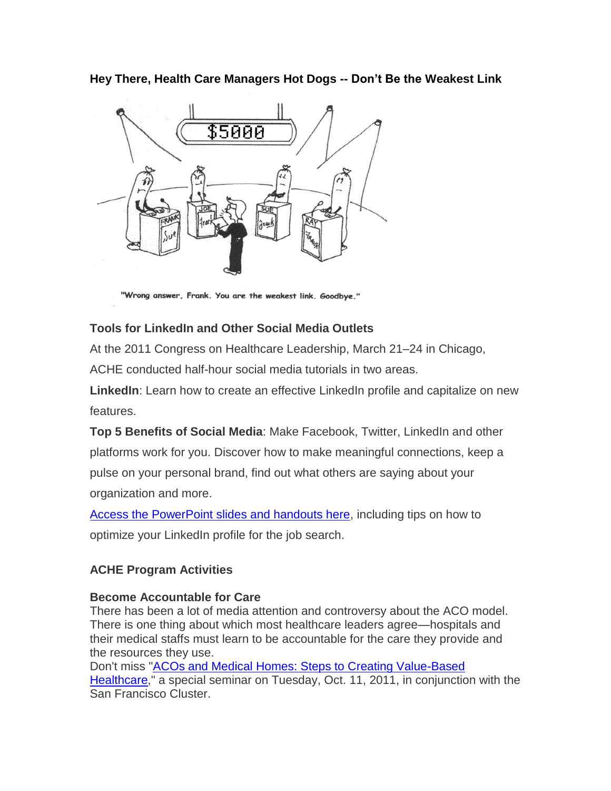**Hey There, Health Care Managers Hot Dogs -- Don't Be the Weakest Link**



"Wrong answer, Frank. You are the weakest link. Goodbye."

## **Tools for LinkedIn and Other Social Media Outlets**

At the 2011 Congress on Healthcare Leadership, March 21–24 in Chicago,

ACHE conducted half-hour social media tutorials in two areas.

**LinkedIn**: Learn how to create an effective LinkedIn profile and capitalize on new features.

**Top 5 Benefits of Social Media**: Make Facebook, Twitter, LinkedIn and other platforms work for you. Discover how to make meaningful connections, keep a pulse on your personal brand, find out what others are saying about your organization and more.

[Access the PowerPoint slides and handouts here,](http://www.mmsend53.com/link.cfm?r=284884120&sid=14243442&m=1415233&u=ACHE&j=5855753&s=http://www.ache.org/abt_ache/connect/socialnetwork.cfm?utm_source=real%20magnet&utm_medium=email&utm_term=wsmarcus@roadrunner.com&utm_content=ACHe-news%20-%206/23/11&utm_campaign=ACHe-news%20-%20June%2023,%202011) including tips on how to optimize your LinkedIn profile for the job search.

## **ACHE Program Activities**

## **Become Accountable for Care**

There has been a lot of media attention and controversy about the ACO model. There is one thing about which most healthcare leaders agree—hospitals and their medical staffs must learn to be accountable for the care they provide and the resources they use.

Don't miss ["ACOs and Medical Homes: Steps to Creating Value-Based](http://www.mmsend53.com/link.cfm?r=284884120&sid=14243440&m=1415233&u=ACHE&j=5855753&s=http://www.ache.org/seminars/ACOs_SanFran.cfm?utm_source=real%20magnet&utm_medium=email&utm_term=wsmarcus@roadrunner.com&utm_content=ACHe-news%20-%206/23/11&utm_campaign=ACHe-news%20-%20June%2023,%202011) [Healthcare,](http://www.mmsend53.com/link.cfm?r=284884120&sid=14243440&m=1415233&u=ACHE&j=5855753&s=http://www.ache.org/seminars/ACOs_SanFran.cfm?utm_source=real%20magnet&utm_medium=email&utm_term=wsmarcus@roadrunner.com&utm_content=ACHe-news%20-%206/23/11&utm_campaign=ACHe-news%20-%20June%2023,%202011)" a special seminar on Tuesday, Oct. 11, 2011, in conjunction with the San Francisco Cluster.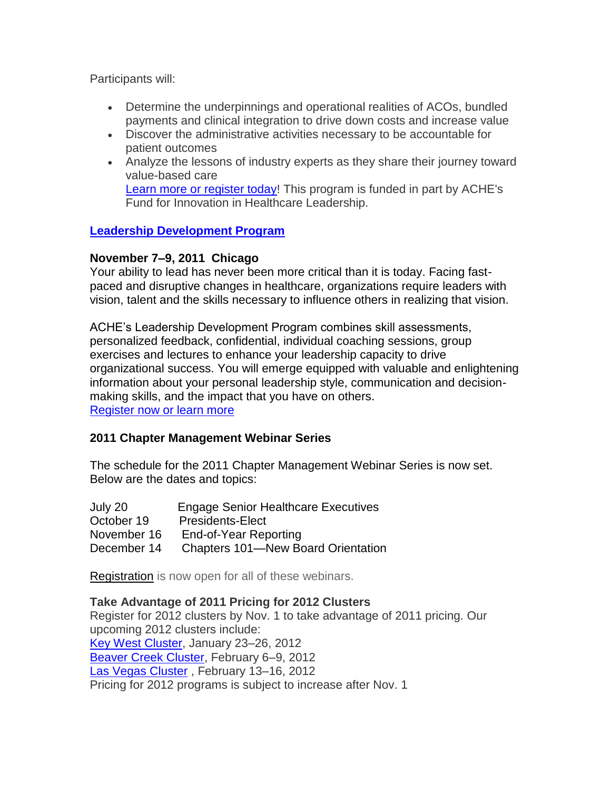Participants will:

- Determine the underpinnings and operational realities of ACOs, bundled payments and clinical integration to drive down costs and increase value
- Discover the administrative activities necessary to be accountable for patient outcomes
- Analyze the lessons of industry experts as they share their journey toward value-based care [Learn more or register today!](http://www.mmsend53.com/link.cfm?r=284884120&sid=14243441&m=1415233&u=ACHE&j=5855753&s=http://www.ache.org/seminars/ACOs_SanFran.cfm?utm_source=real%20magnet&utm_medium=email&utm_term=wsmarcus@roadrunner.com&utm_content=ACHe-news%20-%206/23/11&utm_campaign=ACHe-news%20-%20June%2023,%202011) This program is funded in part by ACHE's Fund for Innovation in Healthcare Leadership.

### **[Leadership Development Program](http://www.mmsend53.com/link.cfm?r=284884120&sid=14821343&m=1476007&u=ACHE&j=6585184&s=http://www.ache.org/seminars/special/index.cfm?meet=LDP2011&nav=1&subnav=4&utm_source=real%20magnet&utm_medium=email&utm_term=wsmarcus@roadrunner.com&utm_content=Education%20eNews%20-%207/28/11&utm_campaign=ACHE%20Education%20eNews%20-%207/28/11)**

## **November 7–9, 2011 Chicago**

Your ability to lead has never been more critical than it is today. Facing fastpaced and disruptive changes in healthcare, organizations require leaders with vision, talent and the skills necessary to influence others in realizing that vision.

ACHE's Leadership Development Program combines skill assessments, personalized feedback, confidential, individual coaching sessions, group exercises and lectures to enhance your leadership capacity to drive organizational success. You will emerge equipped with valuable and enlightening information about your personal leadership style, communication and decisionmaking skills, and the impact that you have on others. [Register now or learn more](http://www.mmsend53.com/link.cfm?r=284884120&sid=14821344&m=1476007&u=ACHE&j=6585184&s=http://www.ache.org/seminars/special/index.cfm?meet=LDP2011&nav=1&subnav=4&utm_source=real%20magnet&utm_medium=email&utm_term=wsmarcus@roadrunner.com&utm_content=Education%20eNews%20-%207/28/11&utm_campaign=ACHE%20Education%20eNews%20-%207/28/11)

### **2011 Chapter Management Webinar Series**

The schedule for the 2011 Chapter Management Webinar Series is now set. Below are the dates and topics:

| July 20     | <b>Engage Senior Healthcare Executives</b> |
|-------------|--------------------------------------------|
| October 19  | <b>Presidents-Elect</b>                    |
| November 16 | End-of-Year Reporting                      |
| December 14 | <b>Chapters 101—New Board Orientation</b>  |

[Registration](http://newsmanager.commpartners.com/linktrack.php?url=http%3A%2F%2Fwww.ache.org%2Fchapters%2FERegistration%2Fchapter_audio.cfm) is now open for all of these webinars.

### **Take Advantage of 2011 Pricing for 2012 Clusters**

Register for 2012 clusters by Nov. 1 to take advantage of 2011 pricing. Our upcoming 2012 clusters include: [Key West Cluster,](http://www.mmsend53.com/link.cfm?r=284884120&sid=14704347&m=1463792&u=ACHE&j=6437087&s=http://www.ache.org/seminars/cluster.cfm?MEET=KEYW2012&utm_source=real%20magnet&utm_medium=email&utm_term=wsmarcus@roadrunner.com&utm_content=ACHe-news%20-%207/21/11&utm_campaign=ACHe-news%20-%20July%2021,%202011) January 23–26, 2012 [Beaver Creek Cluster,](http://www.mmsend53.com/link.cfm?r=284884120&sid=14704348&m=1463792&u=ACHE&j=6437087&s=http://www.ache.org/seminars/cluster.cfm?MEET=CREEK2012&utm_source=real%20magnet&utm_medium=email&utm_term=wsmarcus@roadrunner.com&utm_content=ACHe-news%20-%207/21/11&utm_campaign=ACHe-news%20-%20July%2021,%202011) February 6–9, 2012 [Las Vegas Cluster](http://www.mmsend53.com/link.cfm?r=284884120&sid=14704349&m=1463792&u=ACHE&j=6437087&s=http://www.ache.org/seminars/cluster.cfm?MEET=VEGAS2012&utm_source=real%20magnet&utm_medium=email&utm_term=wsmarcus@roadrunner.com&utm_content=ACHe-news%20-%207/21/11&utm_campaign=ACHe-news%20-%20July%2021,%202011) , February 13–16, 2012 Pricing for 2012 programs is subject to increase after Nov. 1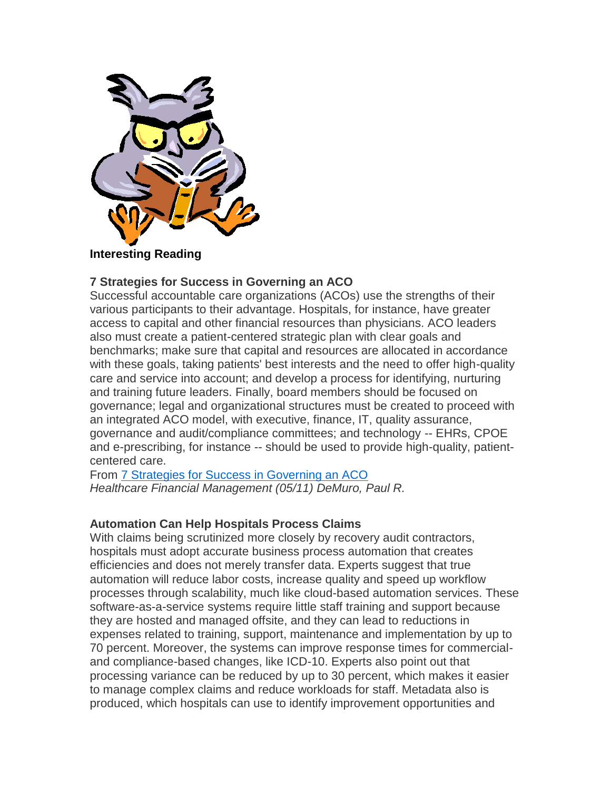

**Interesting Reading**

### **7 Strategies for Success in Governing an ACO**

Successful accountable care organizations (ACOs) use the strengths of their various participants to their advantage. Hospitals, for instance, have greater access to capital and other financial resources than physicians. ACO leaders also must create a patient-centered strategic plan with clear goals and benchmarks; make sure that capital and resources are allocated in accordance with these goals, taking patients' best interests and the need to offer high-quality care and service into account; and develop a process for identifying, nurturing and training future leaders. Finally, board members should be focused on governance; legal and organizational structures must be created to proceed with an integrated ACO model, with executive, finance, IT, quality assurance, governance and audit/compliance committees; and technology -- EHRs, CPOE and e-prescribing, for instance -- should be used to provide high-quality, patientcentered care.

From [7 Strategies for Success in Governing an ACO](http://www.mmsend53.com/link.cfm?r=284884120&sid=13812536&m=1376282&u=ACHE&s=http://www.hfma.org/Templates/InteriorMaster.aspx?id=26399) *Healthcare Financial Management (05/11) DeMuro, Paul R.*

### **Automation Can Help Hospitals Process Claims**

With claims being scrutinized more closely by recovery audit contractors, hospitals must adopt accurate business process automation that creates efficiencies and does not merely transfer data. Experts suggest that true automation will reduce labor costs, increase quality and speed up workflow processes through scalability, much like cloud-based automation services. These software-as-a-service systems require little staff training and support because they are hosted and managed offsite, and they can lead to reductions in expenses related to training, support, maintenance and implementation by up to 70 percent. Moreover, the systems can improve response times for commercialand compliance-based changes, like ICD-10. Experts also point out that processing variance can be reduced by up to 30 percent, which makes it easier to manage complex claims and reduce workloads for staff. Metadata also is produced, which hospitals can use to identify improvement opportunities and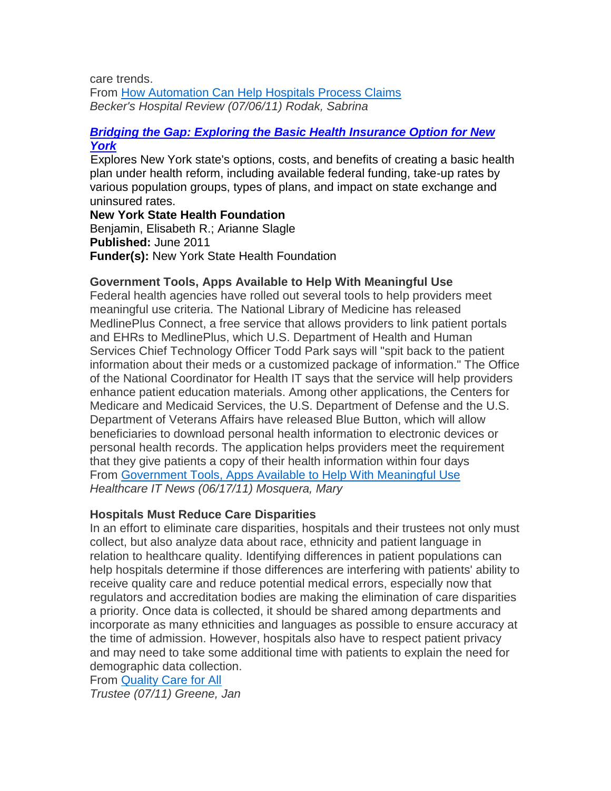care trends. From [How Automation Can Help Hospitals Process Claims](http://www.mmsend53.com/link.cfm?r=284884120&sid=14689598&m=1463792&u=ACHE&j=6437087&s=http://www.beckershospitalreview.com/racs-/-icd-9-/-icd-10/how-automation-can-help-hospitals-process-claims.html) *Becker's Hospital Review (07/06/11) Rodak, Sabrina*

#### *[Bridging the Gap: Exploring the Basic Health Insurance Option for New](http://foundationcenter.org/gainknowledge/pubhub/pubhub_item.jhtml?id=fdc130300002)  [York](http://foundationcenter.org/gainknowledge/pubhub/pubhub_item.jhtml?id=fdc130300002)*

Explores New York state's options, costs, and benefits of creating a basic health plan under health reform, including available federal funding, take-up rates by various population groups, types of plans, and impact on state exchange and uninsured rates.

**New York State Health Foundation**  Benjamin, Elisabeth R.; Arianne Slagle **Published:** June 2011 **Funder(s):** New York State Health Foundation

#### **Government Tools, Apps Available to Help With Meaningful Use**

Federal health agencies have rolled out several tools to help providers meet meaningful use criteria. The National Library of Medicine has released MedlinePlus Connect, a free service that allows providers to link patient portals and EHRs to MedlinePlus, which U.S. Department of Health and Human Services Chief Technology Officer Todd Park says will "spit back to the patient information about their meds or a customized package of information." The Office of the National Coordinator for Health IT says that the service will help providers enhance patient education materials. Among other applications, the Centers for Medicare and Medicaid Services, the U.S. Department of Defense and the U.S. Department of Veterans Affairs have released Blue Button, which will allow beneficiaries to download personal health information to electronic devices or personal health records. The application helps providers meet the requirement that they give patients a copy of their health information within four days From [Government Tools, Apps Available to Help With Meaningful Use](http://www.mmsend53.com/link.cfm?r=284884120&sid=14447945&m=1438953&u=ACHE&j=6099758&s=http://www.healthcareitnews.com/news/government-tools-apps-available-help-meaningful-use) *Healthcare IT News (06/17/11) Mosquera, Mary*

### **Hospitals Must Reduce Care Disparities**

In an effort to eliminate care disparities, hospitals and their trustees not only must collect, but also analyze data about race, ethnicity and patient language in relation to healthcare quality. Identifying differences in patient populations can help hospitals determine if those differences are interfering with patients' ability to receive quality care and reduce potential medical errors, especially now that regulators and accreditation bodies are making the elimination of care disparities a priority. Once data is collected, it should be shared among departments and incorporate as many ethnicities and languages as possible to ensure accuracy at the time of admission. However, hospitals also have to respect patient privacy and may need to take some additional time with patients to explain the need for demographic data collection.

From [Quality Care for All](http://www.mmsend53.com/link.cfm?r=284884120&sid=14689599&m=1463792&u=ACHE&j=6437087&s=http://www.trusteemag.com/trusteemag_app/jsp/articledisplay.jsp?dcrpath=TRUSTEEMAG/Article/data/07JUL2011/1107TRU_COVERSTORY&domain=TRUSTEEMAG) *Trustee (07/11) Greene, Jan*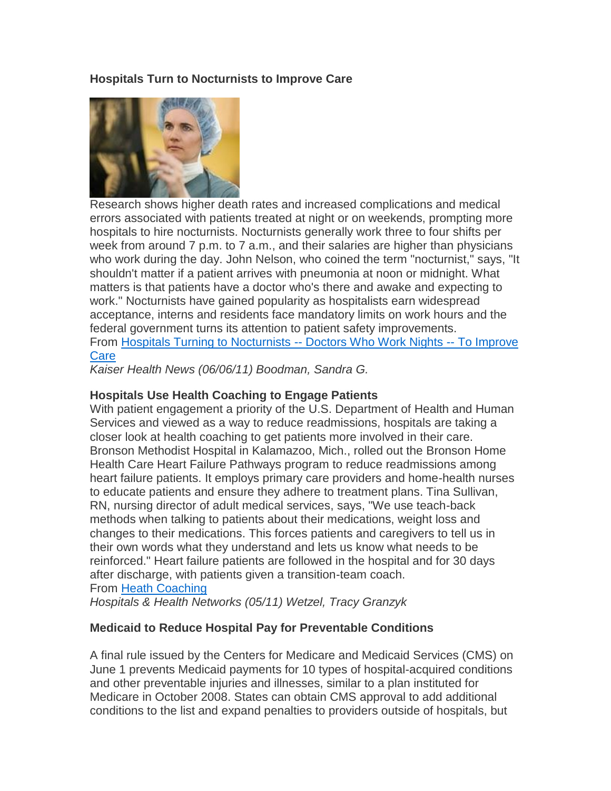### **Hospitals Turn to Nocturnists to Improve Care**



Research shows higher death rates and increased complications and medical errors associated with patients treated at night or on weekends, prompting more hospitals to hire nocturnists. Nocturnists generally work three to four shifts per week from around 7 p.m. to 7 a.m., and their salaries are higher than physicians who work during the day. John Nelson, who coined the term "nocturnist," says, "It shouldn't matter if a patient arrives with pneumonia at noon or midnight. What matters is that patients have a doctor who's there and awake and expecting to work." Nocturnists have gained popularity as hospitalists earn widespread acceptance, interns and residents face mandatory limits on work hours and the federal government turns its attention to patient safety improvements. From [Hospitals Turning to Nocturnists --](http://www.mmsend53.com/link.cfm?r=284884120&sid=14222711&m=1415233&u=ACHE&j=5855753&s=http://www.kaiserhealthnews.org/Stories/2011/June/07/nocturnist.aspx) Doctors Who Work Nights -- To Improve **[Care](http://www.mmsend53.com/link.cfm?r=284884120&sid=14222711&m=1415233&u=ACHE&j=5855753&s=http://www.kaiserhealthnews.org/Stories/2011/June/07/nocturnist.aspx)** 

*Kaiser Health News (06/06/11) Boodman, Sandra G.*

### **Hospitals Use Health Coaching to Engage Patients**

With patient engagement a priority of the U.S. Department of Health and Human Services and viewed as a way to reduce readmissions, hospitals are taking a closer look at health coaching to get patients more involved in their care. Bronson Methodist Hospital in Kalamazoo, Mich., rolled out the Bronson Home Health Care Heart Failure Pathways program to reduce readmissions among heart failure patients. It employs primary care providers and home-health nurses to educate patients and ensure they adhere to treatment plans. Tina Sullivan, RN, nursing director of adult medical services, says, "We use teach-back methods when talking to patients about their medications, weight loss and changes to their medications. This forces patients and caregivers to tell us in their own words what they understand and lets us know what needs to be reinforced." Heart failure patients are followed in the hospital and for 30 days after discharge, with patients given a transition-team coach. From [Heath Coaching](http://www.mmsend53.com/link.cfm?r=284884120&sid=13812547&m=1376282&u=ACHE&s=http://hhnmag.com/hhnmag_app/jsp/articledisplay.jsp?dcrpath=HHNMAG/Article/data/05MAY2011/0511HHN_Coverstory&domain=HHNMAG)

*Hospitals & Health Networks (05/11) Wetzel, Tracy Granzyk*

### **Medicaid to Reduce Hospital Pay for Preventable Conditions**

A final rule issued by the Centers for Medicare and Medicaid Services (CMS) on June 1 prevents Medicaid payments for 10 types of hospital-acquired conditions and other preventable injuries and illnesses, similar to a plan instituted for Medicare in October 2008. States can obtain CMS approval to add additional conditions to the list and expand penalties to providers outside of hospitals, but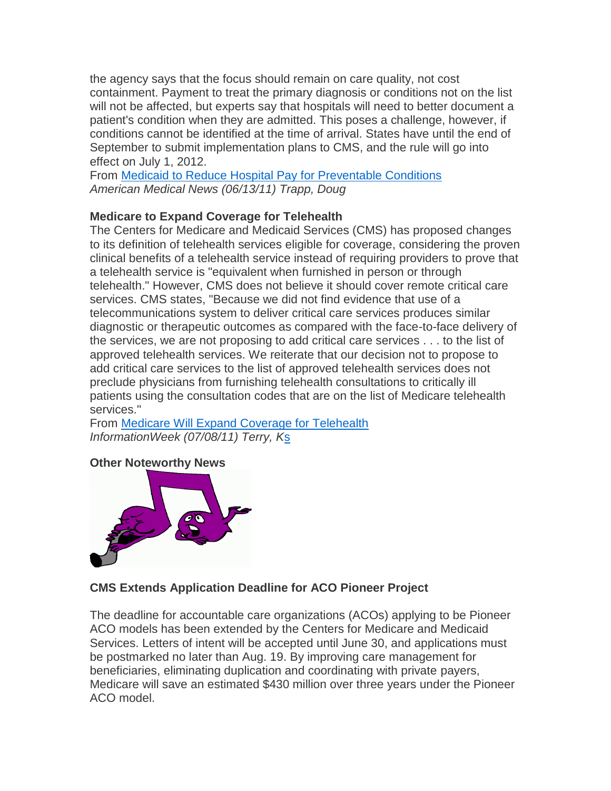the agency says that the focus should remain on care quality, not cost containment. Payment to treat the primary diagnosis or conditions not on the list will not be affected, but experts say that hospitals will need to better document a patient's condition when they are admitted. This poses a challenge, however, if conditions cannot be identified at the time of arrival. States have until the end of September to submit implementation plans to CMS, and the rule will go into effect on July 1, 2012.

From [Medicaid to Reduce Hospital Pay for Preventable Conditions](http://www.mmsend53.com/link.cfm?r=284884120&sid=14222710&m=1415233&u=ACHE&j=5855753&s=http://www.ama-assn.org/amednews/2011/06/13/gvsc0613.htm) *American Medical News (06/13/11) Trapp, Doug*

## **Medicare to Expand Coverage for Telehealth**

The Centers for Medicare and Medicaid Services (CMS) has proposed changes to its definition of telehealth services eligible for coverage, considering the proven clinical benefits of a telehealth service instead of requiring providers to prove that a telehealth service is "equivalent when furnished in person or through telehealth." However, CMS does not believe it should cover remote critical care services. CMS states, "Because we did not find evidence that use of a telecommunications system to deliver critical care services produces similar diagnostic or therapeutic outcomes as compared with the face-to-face delivery of the services, we are not proposing to add critical care services . . . to the list of approved telehealth services. We reiterate that our decision not to propose to add critical care services to the list of approved telehealth services does not preclude physicians from furnishing telehealth consultations to critically ill patients using the consultation codes that are on the list of Medicare telehealth services."

From [Medicare Will Expand Coverage for Telehealth](http://www.mmsend53.com/link.cfm?r=284884120&sid=14689608&m=1463792&u=ACHE&j=6437087&s=http://www.informationweek.com/news/healthcare/mobile-wireless/231001243) *InformationWeek (07/08/11) Terry, K*s

## **Other Noteworthy News**



## **CMS Extends Application Deadline for ACO Pioneer Project**

The deadline for accountable care organizations (ACOs) applying to be Pioneer ACO models has been extended by the Centers for Medicare and Medicaid Services. Letters of intent will be accepted until June 30, and applications must be postmarked no later than Aug. 19. By improving care management for beneficiaries, eliminating duplication and coordinating with private payers, Medicare will save an estimated \$430 million over three years under the Pioneer ACO model.